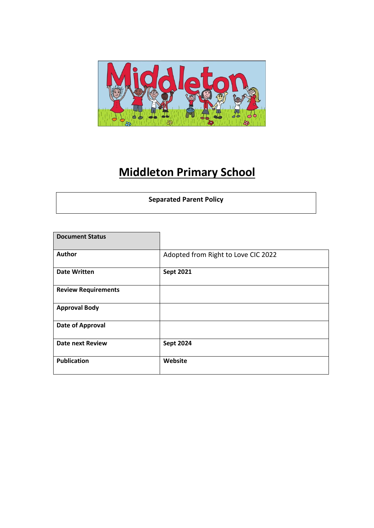

# **Middleton Primary School**

| <b>Separated Parent Policy</b> |
|--------------------------------|
|                                |

| <b>Document Status</b>     |                                     |
|----------------------------|-------------------------------------|
| Author                     | Adopted from Right to Love CIC 2022 |
| <b>Date Written</b>        | <b>Sept 2021</b>                    |
| <b>Review Requirements</b> |                                     |
| <b>Approval Body</b>       |                                     |
| Date of Approval           |                                     |
| <b>Date next Review</b>    | <b>Sept 2024</b>                    |
| <b>Publication</b>         | Website                             |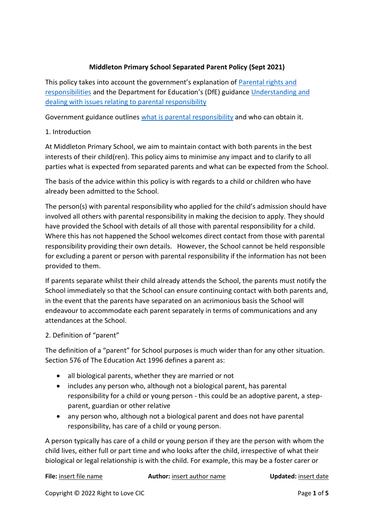## **Middleton Primary School Separated Parent Policy (Sept 2021)**

This policy takes into account the government's explanation of [Parental rights and](https://www.gov.uk/parental-rights-responsibilities)  [responsibilities](https://www.gov.uk/parental-rights-responsibilities) and the Department for Education's (DfE) guidance [Understanding and](https://www.gov.uk/government/publications/dealing-with-issues-relating-to-parental-responsibility/understanding-and-dealing-with-issues-relating-to-parental-responsibility#introduction)  [dealing with issues relating to parental responsibility](https://www.gov.uk/government/publications/dealing-with-issues-relating-to-parental-responsibility/understanding-and-dealing-with-issues-relating-to-parental-responsibility#introduction)

Government guidance outlines [what is parental responsibility](https://www.gov.uk/parental-rights-responsibilities) and who can obtain it.

## 1. Introduction

At Middleton Primary School, we aim to maintain contact with both parents in the best interests of their child(ren). This policy aims to minimise any impact and to clarify to all parties what is expected from separated parents and what can be expected from the School.

The basis of the advice within this policy is with regards to a child or children who have already been admitted to the School.

The person(s) with parental responsibility who applied for the child's admission should have involved all others with parental responsibility in making the decision to apply. They should have provided the School with details of all those with parental responsibility for a child. Where this has not happened the School welcomes direct contact from those with parental responsibility providing their own details. However, the School cannot be held responsible for excluding a parent or person with parental responsibility if the information has not been provided to them.

If parents separate whilst their child already attends the School, the parents must notify the School immediately so that the School can ensure continuing contact with both parents and, in the event that the parents have separated on an acrimonious basis the School will endeavour to accommodate each parent separately in terms of communications and any attendances at the School.

#### 2. Definition of "parent"

The definition of a "parent" for School purposes is much wider than for any other situation. Section 576 of The Education Act 1996 defines a parent as:

- all biological parents, whether they are married or not
- includes any person who, although not a biological parent, has parental responsibility for a child or young person - this could be an adoptive parent, a stepparent, guardian or other relative
- any person who, although not a biological parent and does not have parental responsibility, has care of a child or young person.

A person typically has care of a child or young person if they are the person with whom the child lives, either full or part time and who looks after the child, irrespective of what their biological or legal relationship is with the child. For example, this may be a foster carer or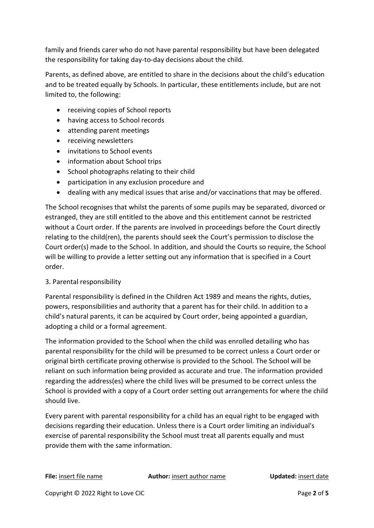family and friends carer who do not have parental responsibility but have been delegated the responsibility for taking day-to-day decisions about the child.

Parents, as defined above, are entitled to share in the decisions about the child's education and to be treated equally by Schools. In particular, these entitlements include, but are not limited to, the following:

- receiving copies of School reports
- having access to School records
- attending parent meetings
- receiving newsletters
- invitations to School events
- information about School trips
- School photographs relating to their child
- participation in any exclusion procedure and
- dealing with any medical issues that arise and/or vaccinations that may be offered.

The School recognises that whilst the parents of some pupils may be separated, divorced or estranged, they are still entitled to the above and this entitlement cannot be restricted without a Court order. If the parents are involved in proceedings before the Court directly relating to the child(ren), the parents should seek the Court's permission to disclose the Court order(s) made to the School. In addition, and should the Courts so require, the School will be willing to provide a letter setting out any information that is specified in a Court order.

#### 3. Parental responsibility

Parental responsibility is defined in the Children Act 1989 and means the rights, duties, powers, responsibilities and authority that a parent has for their child. In addition to a child's natural parents, it can be acquired by Court order, being appointed a guardian, adopting a child or a formal agreement.

The information provided to the School when the child was enrolled detailing who has parental responsibility for the child will be presumed to be correct unless a Court order or original birth certificate proving otherwise is provided to the School. The School will be reliant on such information being provided as accurate and true. The information provided regarding the address(es) where the child lives will be presumed to be correct unless the School is provided with a copy of a Court order setting out arrangements for where the child should live.

Every parent with parental responsibility for a child has an equal right to be engaged with decisions regarding their education. Unless there is a Court order limiting an individual's exercise of parental responsibility the School must treat all parents equally and must provide them with the same information.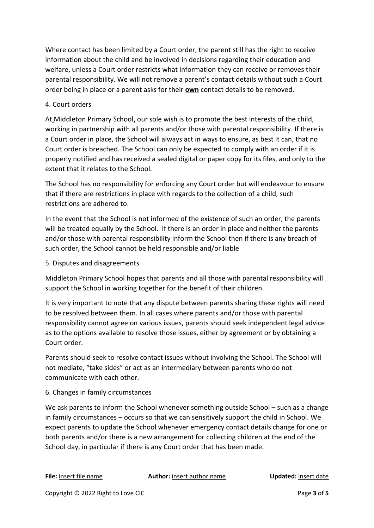Where contact has been limited by a Court order, the parent still has the right to receive information about the child and be involved in decisions regarding their education and welfare, unless a Court order restricts what information they can receive or removes their parental responsibility. We will not remove a parent's contact details without such a Court order being in place or a parent asks for their **own** contact details to be removed.

## 4. Court orders

At Middleton Primary School, our sole wish is to promote the best interests of the child, working in partnership with all parents and/or those with parental responsibility. If there is a Court order in place, the School will always act in ways to ensure, as best it can, that no Court order is breached. The School can only be expected to comply with an order if it is properly notified and has received a sealed digital or paper copy for its files, and only to the extent that it relates to the School.

The School has no responsibility for enforcing any Court order but will endeavour to ensure that if there are restrictions in place with regards to the collection of a child, such restrictions are adhered to.

In the event that the School is not informed of the existence of such an order, the parents will be treated equally by the School. If there is an order in place and neither the parents and/or those with parental responsibility inform the School then if there is any breach of such order, the School cannot be held responsible and/or liable

5. Disputes and disagreements

Middleton Primary School hopes that parents and all those with parental responsibility will support the School in working together for the benefit of their children.

It is very important to note that any dispute between parents sharing these rights will need to be resolved between them. In all cases where parents and/or those with parental responsibility cannot agree on various issues, parents should seek independent legal advice as to the options available to resolve those issues, either by agreement or by obtaining a Court order.

Parents should seek to resolve contact issues without involving the School. The School will not mediate, "take sides" or act as an intermediary between parents who do not communicate with each other.

#### 6. Changes in family circumstances

We ask parents to inform the School whenever something outside School – such as a change in family circumstances – occurs so that we can sensitively support the child in School. We expect parents to update the School whenever emergency contact details change for one or both parents and/or there is a new arrangement for collecting children at the end of the School day, in particular if there is any Court order that has been made.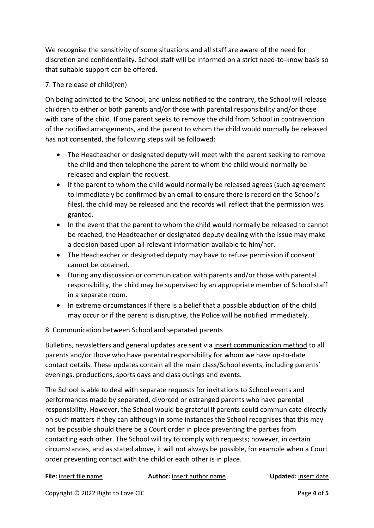We recognise the sensitivity of some situations and all staff are aware of the need for discretion and confidentiality. School staff will be informed on a strict need-to-know basis so that suitable support can be offered.

## 7. The release of child(ren)

On being admitted to the School, and unless notified to the contrary, the School will release children to either or both parents and/or those with parental responsibility and/or those with care of the child. If one parent seeks to remove the child from School in contravention of the notified arrangements, and the parent to whom the child would normally be released has not consented, the following steps will be followed:

- The Headteacher or designated deputy will meet with the parent seeking to remove the child and then telephone the parent to whom the child would normally be released and explain the request.
- If the parent to whom the child would normally be released agrees (such agreement to immediately be confirmed by an email to ensure there is record on the School's files), the child may be released and the records will reflect that the permission was granted.
- In the event that the parent to whom the child would normally be released to cannot be reached, the Headteacher or designated deputy dealing with the issue may make a decision based upon all relevant information available to him/her.
- The Headteacher or designated deputy may have to refuse permission if consent cannot be obtained.
- During any discussion or communication with parents and/or those with parental responsibility, the child may be supervised by an appropriate member of School staff in a separate room.
- In extreme circumstances if there is a belief that a possible abduction of the child may occur or if the parent is disruptive, the Police will be notified immediately.

## 8. Communication between School and separated parents

Bulletins, newsletters and general updates are sent via insert communication method to all parents and/or those who have parental responsibility for whom we have up-to-date contact details. These updates contain all the main class/School events, including parents' evenings, productions, sports days and class outings and events.

The School is able to deal with separate requests for invitations to School events and performances made by separated, divorced or estranged parents who have parental responsibility. However, the School would be grateful if parents could communicate directly on such matters if they can although in some instances the School recognises that this may not be possible should there be a Court order in place preventing the parties from contacting each other. The School will try to comply with requests; however, in certain circumstances, and as stated above, it will not always be possible, for example when a Court order preventing contact with the child or each other is in place.